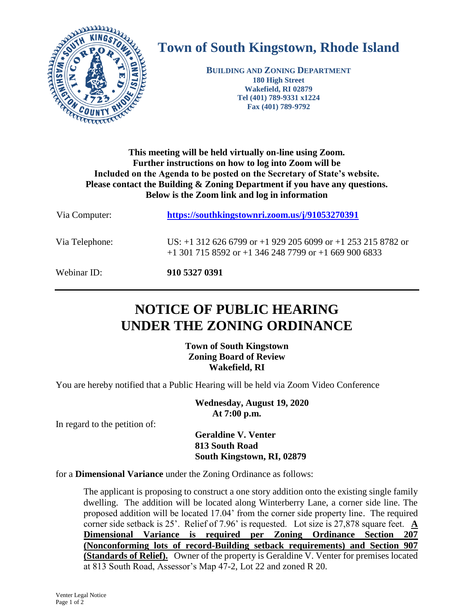

## **Town of South Kingstown, Rhode Island**

**BUILDING AND ZONING DEPARTMENT 180 High Street Wakefield, RI 02879 Tel (401) 789-9331 x1224 Fax (401) 789-9792**

## **This meeting will be held virtually on-line using Zoom. Further instructions on how to log into Zoom will be Included on the Agenda to be posted on the Secretary of State's website. Please contact the Building & Zoning Department if you have any questions. Below is the Zoom link and log in information**

| Webinar ID:    | 910 5327 0391                                                                                                           |
|----------------|-------------------------------------------------------------------------------------------------------------------------|
| Via Telephone: | US: +1 312 626 6799 or +1 929 205 6099 or +1 253 215 8782 or<br>$+1$ 301 715 8592 or +1 346 248 7799 or +1 669 900 6833 |
| Via Computer:  | https://southkingstownri.zoom.us/j/91053270391                                                                          |

## **NOTICE OF PUBLIC HEARING UNDER THE ZONING ORDINANCE**

**Town of South Kingstown Zoning Board of Review Wakefield, RI**

You are hereby notified that a Public Hearing will be held via Zoom Video Conference

**Wednesday, August 19, 2020 At 7:00 p.m.**

In regard to the petition of:

**Geraldine V. Venter 813 South Road South Kingstown, RI, 02879**

for a **Dimensional Variance** under the Zoning Ordinance as follows:

The applicant is proposing to construct a one story addition onto the existing single family dwelling. The addition will be located along Winterberry Lane, a corner side line. The proposed addition will be located 17.04' from the corner side property line. The required corner side setback is 25<sup>'</sup>. Relief of 7.96' is requested. Lot size is 27,878 square feet.  $\mathbf{\underline{A}}$ **Dimensional Variance is required per Zoning Ordinance Section 207 (Nonconforming lots of record-Building setback requirements) and Section 907 (Standards of Relief).** Owner of the property is Geraldine V. Venter for premises located at 813 South Road, Assessor's Map 47-2, Lot 22 and zoned R 20.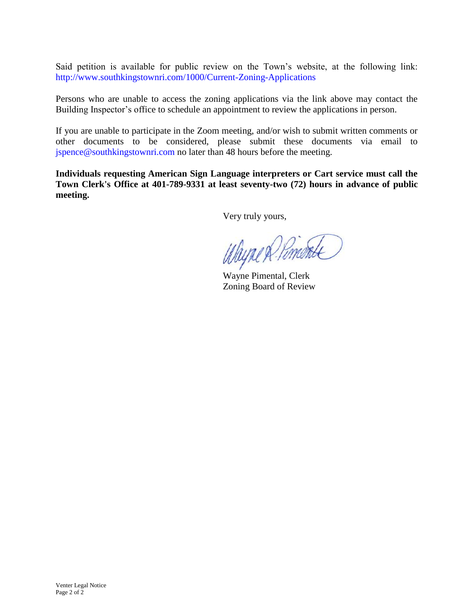Said petition is available for public review on the Town's website, at the following link: <http://www.southkingstownri.com/1000/Current-Zoning-Applications>

Persons who are unable to access the zoning applications via the link above may contact the Building Inspector's office to schedule an appointment to review the applications in person.

If you are unable to participate in the Zoom meeting, and/or wish to submit written comments or other documents to be considered, please submit these documents via email to [jspence@southkingstownri.com](mailto:jspence@southkingstownri.com) no later than 48 hours before the meeting.

**Individuals requesting American Sign Language interpreters or Cart service must call the Town Clerk's Office at 401-789-9331 at least seventy-two (72) hours in advance of public meeting.**

Very truly yours,

Wayne & Pomonte

Wayne Pimental, Clerk Zoning Board of Review